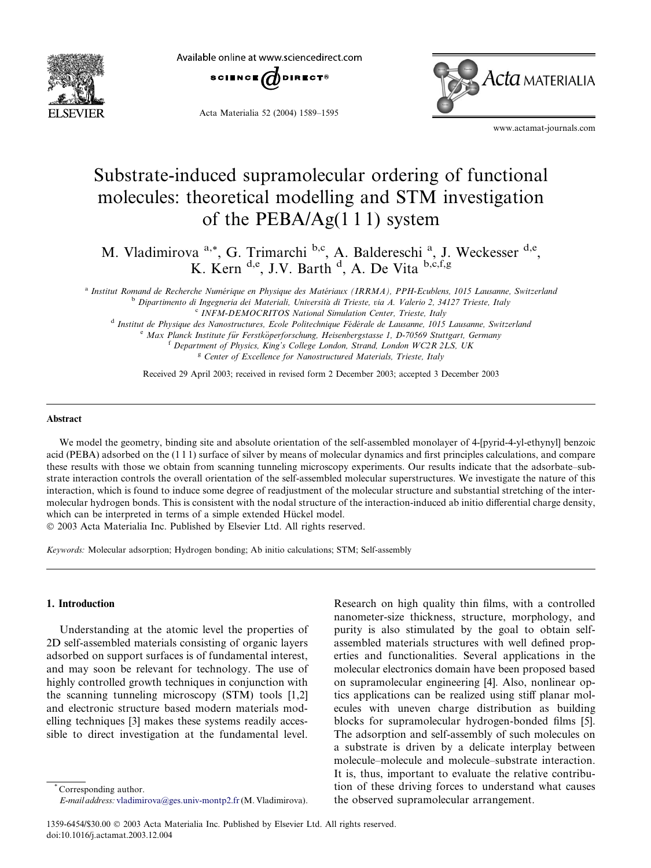

Available online at www.sciencedirect.com



Acta Materialia 52 (2004) 1589–1595



www.actamat-journals.com

# Substrate-induced supramolecular ordering of functional molecules: theoretical modelling and STM investigation of the PEBA/Ag(1 1 1) system

M. Vladimirova <sup>a,\*</sup>, G. Trimarchi <sup>b,c</sup>, A. Baldereschi <sup>a</sup>, J. Weckesser <sup>d,e</sup>, K. Kern <sup>d,e</sup>, J.V. Barth <sup>d</sup>, A. De Vita b,c,f,g

<sup>a</sup> Institut Romand de Recherche Numérique en Physique des Matériaux (IRRMA), PPH-Ecublens, 1015 Lausanne, Switzerland <sup>b</sup> Dipartimento di Ingegneria dei Materiali, Università di Trieste, via A. Valerio 2, 34127 Trieste, Italy <sup>c</sup> INFM-DEMOCRITOS National Simulation Center, Trieste, Italy

<sup>d</sup> Institut de Physique des Nanostructures, Ecole Politechnique Fédérale de Lausanne, 1015 Lausanne, Switzerland<br>
<sup>e</sup> Max Planck Institute für Ferstköperforschung, Heisenbergstasse 1, D-70569 Stuttgart, Germany<br>
<sup>f</sup> Depa

<sup>g</sup> Center of Excellence for Nanostructured Materials, Trieste, Italy

Received 29 April 2003; received in revised form 2 December 2003; accepted 3 December 2003

### Abstract

We model the geometry, binding site and absolute orientation of the self-assembled monolayer of 4-[pyrid-4-yl-ethynyl] benzoic acid (PEBA) adsorbed on the (1 1 1) surface of silver by means of molecular dynamics and first principles calculations, and compare these results with those we obtain from scanning tunneling microscopy experiments. Our results indicate that the adsorbate–substrate interaction controls the overall orientation of the self-assembled molecular superstructures. We investigate the nature of this interaction, which is found to induce some degree of readjustment of the molecular structure and substantial stretching of the intermolecular hydrogen bonds. This is consistent with the nodal structure of the interaction-induced ab initio differential charge density, which can be interpreted in terms of a simple extended Hückel model.

2003 Acta Materialia Inc. Published by Elsevier Ltd. All rights reserved.

Keywords: Molecular adsorption; Hydrogen bonding; Ab initio calculations; STM; Self-assembly

# 1. Introduction

Understanding at the atomic level the properties of 2D self-assembled materials consisting of organic layers adsorbed on support surfaces is of fundamental interest, and may soon be relevant for technology. The use of highly controlled growth techniques in conjunction with the scanning tunneling microscopy (STM) tools [1,2] and electronic structure based modern materials modelling techniques [3] makes these systems readily accessible to direct investigation at the fundamental level.

Corresponding author. E-mail address: [vladimirova@ges.univ-montp2.fr](mail to: vladimirova@ges.univ-montp2.fr)(M. Vladimirova). Research on high quality thin films, with a controlled nanometer-size thickness, structure, morphology, and purity is also stimulated by the goal to obtain selfassembled materials structures with well defined properties and functionalities. Several applications in the molecular electronics domain have been proposed based on supramolecular engineering [4]. Also, nonlinear optics applications can be realized using stiff planar molecules with uneven charge distribution as building blocks for supramolecular hydrogen-bonded films [5]. The adsorption and self-assembly of such molecules on a substrate is driven by a delicate interplay between molecule–molecule and molecule–substrate interaction. It is, thus, important to evaluate the relative contribution of these driving forces to understand what causes the observed supramolecular arrangement.

<sup>1359-6454/\$30.00</sup> 2003 Acta Materialia Inc. Published by Elsevier Ltd. All rights reserved. doi:10.1016/j.actamat.2003.12.004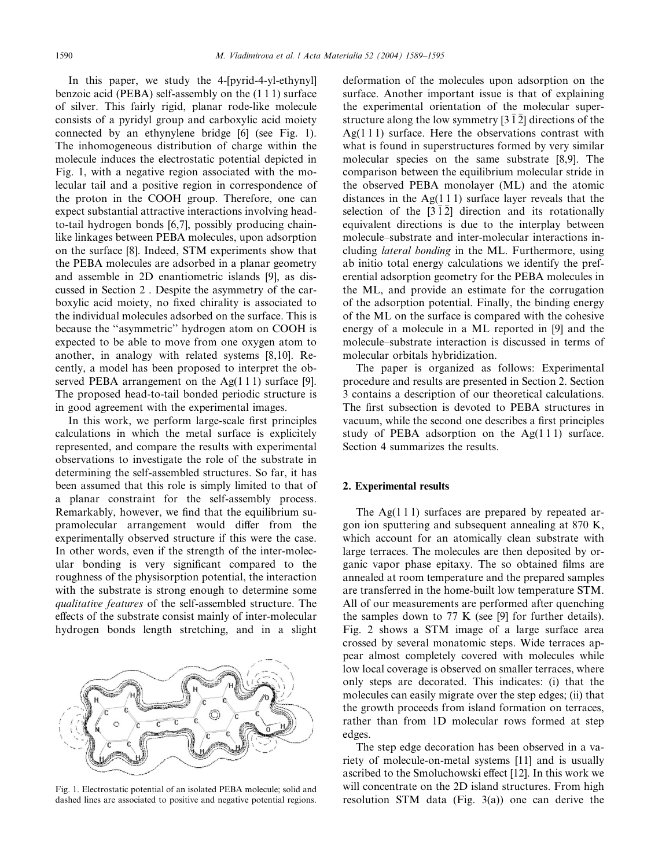In this paper, we study the 4-[pyrid-4-yl-ethynyl] benzoic acid (PEBA) self-assembly on the (1 1 1) surface of silver. This fairly rigid, planar rode-like molecule consists of a pyridyl group and carboxylic acid moiety connected by an ethynylene bridge [6] (see Fig. 1). The inhomogeneous distribution of charge within the molecule induces the electrostatic potential depicted in Fig. 1, with a negative region associated with the molecular tail and a positive region in correspondence of the proton in the COOH group. Therefore, one can expect substantial attractive interactions involving headto-tail hydrogen bonds [6,7], possibly producing chainlike linkages between PEBA molecules, upon adsorption on the surface [8]. Indeed, STM experiments show that the PEBA molecules are adsorbed in a planar geometry and assemble in 2D enantiometric islands [9], as discussed in Section 2 . Despite the asymmetry of the carboxylic acid moiety, no fixed chirality is associated to the individual molecules adsorbed on the surface. This is because the ''asymmetric'' hydrogen atom on COOH is expected to be able to move from one oxygen atom to another, in analogy with related systems [8,10]. Recently, a model has been proposed to interpret the observed PEBA arrangement on the  $Ag(1\ 1\ 1)$  surface [9]. The proposed head-to-tail bonded periodic structure is in good agreement with the experimental images.

In this work, we perform large-scale first principles calculations in which the metal surface is explicitely represented, and compare the results with experimental observations to investigate the role of the substrate in determining the self-assembled structures. So far, it has been assumed that this role is simply limited to that of a planar constraint for the self-assembly process. Remarkably, however, we find that the equilibrium supramolecular arrangement would differ from the experimentally observed structure if this were the case. In other words, even if the strength of the inter-molecular bonding is very significant compared to the roughness of the physisorption potential, the interaction with the substrate is strong enough to determine some qualitative features of the self-assembled structure. The effects of the substrate consist mainly of inter-molecular hydrogen bonds length stretching, and in a slight



Fig. 1. Electrostatic potential of an isolated PEBA molecule; solid and dashed lines are associated to positive and negative potential regions.

deformation of the molecules upon adsorption on the surface. Another important issue is that of explaining the experimental orientation of the molecular superstructure along the low symmetry  $\left[3\,1\,2\right]$  directions of the Ag( $111$ ) surface. Here the observations contrast with what is found in superstructures formed by very similar molecular species on the same substrate [8,9]. The comparison between the equilibrium molecular stride in the observed PEBA monolayer (ML) and the atomic distances in the  $Ag(1\ 1\ 1)$  surface layer reveals that the selection of the  $\lceil 3 \rceil \lceil 2 \rceil$  direction and its rotationally equivalent directions is due to the interplay between molecule–substrate and inter-molecular interactions including lateral bonding in the ML. Furthermore, using ab initio total energy calculations we identify the preferential adsorption geometry for the PEBA molecules in the ML, and provide an estimate for the corrugation of the adsorption potential. Finally, the binding energy of the ML on the surface is compared with the cohesive energy of a molecule in a ML reported in [9] and the molecule–substrate interaction is discussed in terms of molecular orbitals hybridization.

The paper is organized as follows: Experimental procedure and results are presented in Section 2. Section 3 contains a description of our theoretical calculations. The first subsection is devoted to PEBA structures in vacuum, while the second one describes a first principles study of PEBA adsorption on the  $Ag(111)$  surface. Section 4 summarizes the results.

## 2. Experimental results

The  $Ag(111)$  surfaces are prepared by repeated argon ion sputtering and subsequent annealing at 870 K, which account for an atomically clean substrate with large terraces. The molecules are then deposited by organic vapor phase epitaxy. The so obtained films are annealed at room temperature and the prepared samples are transferred in the home-built low temperature STM. All of our measurements are performed after quenching the samples down to 77 K (see [9] for further details). Fig. 2 shows a STM image of a large surface area crossed by several monatomic steps. Wide terraces appear almost completely covered with molecules while low local coverage is observed on smaller terraces, where only steps are decorated. This indicates: (i) that the molecules can easily migrate over the step edges; (ii) that the growth proceeds from island formation on terraces, rather than from 1D molecular rows formed at step edges.

The step edge decoration has been observed in a variety of molecule-on-metal systems [11] and is usually ascribed to the Smoluchowski effect [12]. In this work we will concentrate on the 2D island structures. From high resolution STM data (Fig. 3(a)) one can derive the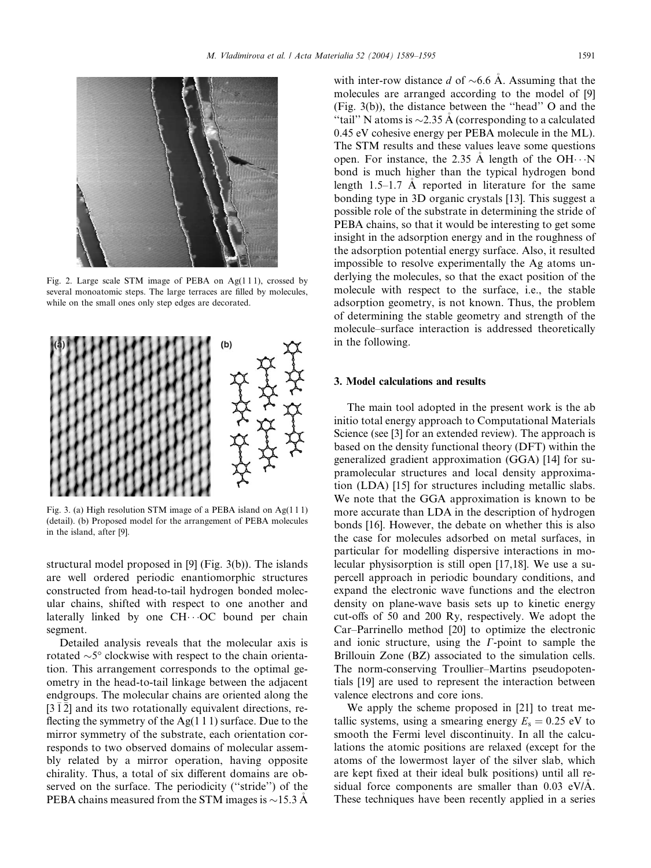

Fig. 2. Large scale STM image of PEBA on Ag(1 1 1), crossed by several monoatomic steps. The large terraces are filled by molecules, while on the small ones only step edges are decorated.



Fig. 3. (a) High resolution STM image of a PEBA island on Ag(1 1 1) (detail). (b) Proposed model for the arrangement of PEBA molecules in the island, after [9].

structural model proposed in [9] (Fig. 3(b)). The islands are well ordered periodic enantiomorphic structures constructed from head-to-tail hydrogen bonded molecular chains, shifted with respect to one another and laterally linked by one  $CH\cdots OC$  bound per chain segment.

Detailed analysis reveals that the molecular axis is rotated  $\sim$ 5 $\degree$  clockwise with respect to the chain orientation. This arrangement corresponds to the optimal geometry in the head-to-tail linkage between the adjacent endgroups. The molecular chains are oriented along the  $[3\overline{1}\overline{2}]$  and its two rotationally equivalent directions, reflecting the symmetry of the  $Ag(1\ 1\ 1)$  surface. Due to the mirror symmetry of the substrate, each orientation corresponds to two observed domains of molecular assembly related by a mirror operation, having opposite chirality. Thus, a total of six different domains are observed on the surface. The periodicity (''stride'') of the PEBA chains measured from the STM images is  $\sim$ 15.3 Å

with inter-row distance d of  $\sim 6.6$  Å. Assuming that the molecules are arranged according to the model of [9] (Fig. 3(b)), the distance between the ''head'' O and the "tail" N atoms is  $\sim$ 2.35 Å (corresponding to a calculated 0.45 eV cohesive energy per PEBA molecule in the ML). The STM results and these values leave some questions open. For instance, the 2.35  $\AA$  length of the OH $\cdots$ N bond is much higher than the typical hydrogen bond length  $1.5-1.7$  Å reported in literature for the same bonding type in 3D organic crystals [13]. This suggest a possible role of the substrate in determining the stride of PEBA chains, so that it would be interesting to get some insight in the adsorption energy and in the roughness of the adsorption potential energy surface. Also, it resulted impossible to resolve experimentally the Ag atoms underlying the molecules, so that the exact position of the molecule with respect to the surface, i.e., the stable adsorption geometry, is not known. Thus, the problem of determining the stable geometry and strength of the molecule–surface interaction is addressed theoretically in the following.

## 3. Model calculations and results

The main tool adopted in the present work is the ab initio total energy approach to Computational Materials Science (see [3] for an extended review). The approach is based on the density functional theory (DFT) within the generalized gradient approximation (GGA) [14] for supramolecular structures and local density approximation (LDA) [15] for structures including metallic slabs. We note that the GGA approximation is known to be more accurate than LDA in the description of hydrogen bonds [16]. However, the debate on whether this is also the case for molecules adsorbed on metal surfaces, in particular for modelling dispersive interactions in molecular physisorption is still open [17,18]. We use a supercell approach in periodic boundary conditions, and expand the electronic wave functions and the electron density on plane-wave basis sets up to kinetic energy cut-offs of 50 and 200 Ry, respectively. We adopt the Car–Parrinello method [20] to optimize the electronic and ionic structure, using the *C*-point to sample the Brillouin Zone (BZ) associated to the simulation cells. The norm-conserving Troullier–Martins pseudopotentials [19] are used to represent the interaction between valence electrons and core ions.

We apply the scheme proposed in [21] to treat metallic systems, using a smearing energy  $E_s = 0.25$  eV to smooth the Fermi level discontinuity. In all the calculations the atomic positions are relaxed (except for the atoms of the lowermost layer of the silver slab, which are kept fixed at their ideal bulk positions) until all residual force components are smaller than 0.03 eV/A. These techniques have been recently applied in a series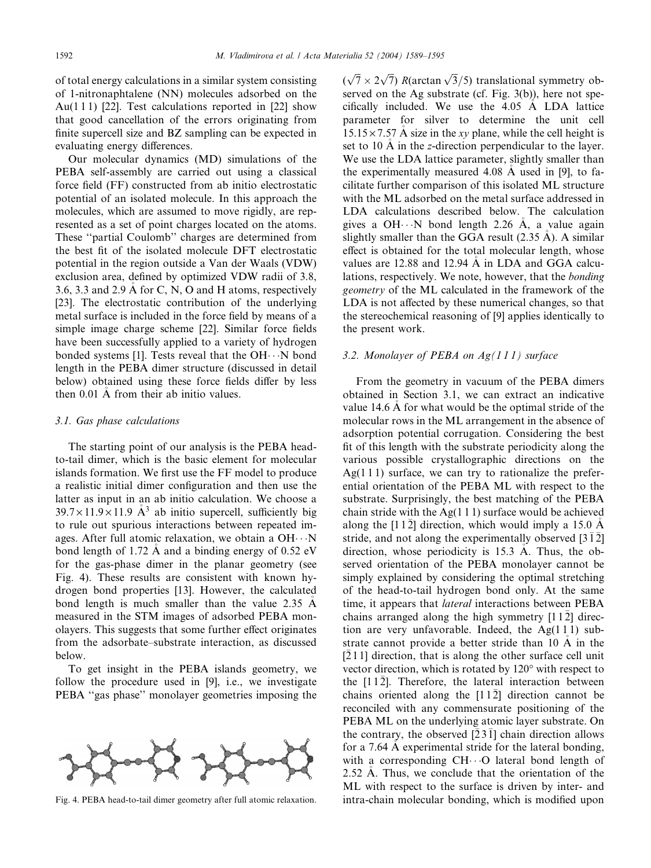of total energy calculations in a similar system consisting of 1-nitronaphtalene (NN) molecules adsorbed on the Au(111) [22]. Test calculations reported in [22] show that good cancellation of the errors originating from finite supercell size and BZ sampling can be expected in evaluating energy differences.

Our molecular dynamics (MD) simulations of the PEBA self-assembly are carried out using a classical force field (FF) constructed from ab initio electrostatic potential of an isolated molecule. In this approach the molecules, which are assumed to move rigidly, are represented as a set of point charges located on the atoms. These ''partial Coulomb'' charges are determined from the best fit of the isolated molecule DFT electrostatic potential in the region outside a Van der Waals (VDW) exclusion area, defined by optimized VDW radii of 3.8, 3.6, 3.3 and 2.9 A for C, N, O and H atoms, respectively [23]. The electrostatic contribution of the underlying metal surface is included in the force field by means of a simple image charge scheme [22]. Similar force fields have been successfully applied to a variety of hydrogen bonded systems [1]. Tests reveal that the  $OH \cdots N$  bond length in the PEBA dimer structure (discussed in detail below) obtained using these force fields differ by less then 0.01 A from their ab initio values.

#### 3.1. Gas phase calculations

The starting point of our analysis is the PEBA headto-tail dimer, which is the basic element for molecular islands formation. We first use the FF model to produce a realistic initial dimer configuration and then use the latter as input in an ab initio calculation. We choose a  $39.7 \times 11.9 \times 11.9$  Å<sup>3</sup> ab initio supercell, sufficiently big to rule out spurious interactions between repeated images. After full atomic relaxation, we obtain a  $OH \cdot \cdot N$ bond length of 1.72 A and a binding energy of 0.52 eV for the gas-phase dimer in the planar geometry (see Fig. 4). These results are consistent with known hydrogen bond properties [13]. However, the calculated bond length is much smaller than the value 2.35 A measured in the STM images of adsorbed PEBA monolayers. This suggests that some further effect originates from the adsorbate–substrate interaction, as discussed below.

To get insight in the PEBA islands geometry, we follow the procedure used in [9], i.e., we investigate PEBA ''gas phase'' monolayer geometries imposing the



 $(\sqrt{7} \times 2\sqrt{7})$  R(arctan  $\sqrt{3}/5$ ) translational symmetry observed on the Ag substrate (cf. Fig. 3(b)), here not specifically included. We use the 4.05 A LDA lattice parameter for silver to determine the unit cell  $15.15 \times 7.57$  Å size in the *xy* plane, while the cell height is set to 10 A in the *z*-direction perpendicular to the layer. We use the LDA lattice parameter, slightly smaller than the experimentally measured 4.08 A used in [9], to fa cilitate further comparison of this isolated ML structure with the ML adsorbed on the metal surface addressed in LDA calculations described below. The calculation gives a OH $\cdots$ N bond length 2.26 A, a value again slightly smaller than the GGA result (2.35 A). A similar effect is obtained for the total molecular length, whose values are 12.88 and 12.94 A in LDA and GGA calcu lations, respectively. We note, however, that the bonding geometry of the ML calculated in the framework of the LDA is not affected by these numerical changes, so that the stereochemical reasoning of [9] applies identically to the present work.

## 3.2. Monolayer of PEBA on  $Ag(111)$  surface

From the geometry in vacuum of the PEBA dimers obtained in Section 3.1, we can extract an indicative value 14.6 A for what would be the optimal stride of the molecular rows in the ML arrangement in the absence of adsorption potential corrugation. Considering the best fit of this length with the substrate periodicity along the various possible crystallographic directions on the Ag $(1 1 1)$  surface, we can try to rationalize the preferential orientation of the PEBA ML with respect to the substrate. Surprisingly, the best matching of the PEBA chain stride with the  $Ag(1 1 1)$  surface would be achieved along the [1 12] direction, which would imply a 15.0 A stride, and not along the experimentally observed  $\overline{312}$ ] direction, whose periodicity is 15.3 A. Thus, the ob served orientation of the PEBA monolayer cannot be simply explained by considering the optimal stretching of the head-to-tail hydrogen bond only. At the same time, it appears that *lateral* interactions between PEBA chains arranged along the high symmetry  $[1\,1\,2]$  direction are very unfavorable. Indeed, the Ag(1 1 1) substrate cannot provide a better stride than 10 A in the [2 1 1] direction, that is along the other surface cell unit vector direction, which is rotated by 120° with respect to the  $[11\overline{2}]$ . Therefore, the lateral interaction between chains oriented along the  $[11\overline{2}]$  direction cannot be reconciled with any commensurate positioning of the PEBA ML on the underlying atomic layer substrate. On the contrary, the observed  $\overline{2}3\overline{1}$  chain direction allows for a 7.64 A experimental stride for the lateral bonding, with a corresponding  $CH \cdot \cdot \cdot O$  lateral bond length of 2.52 A. Thus, we conclude that the orientation of the ML with respect to the surface is driven by inter- and Fig. 4. PEBA head-to-tail dimer geometry after full atomic relaxation. intra-chain molecular bonding, which is modified upon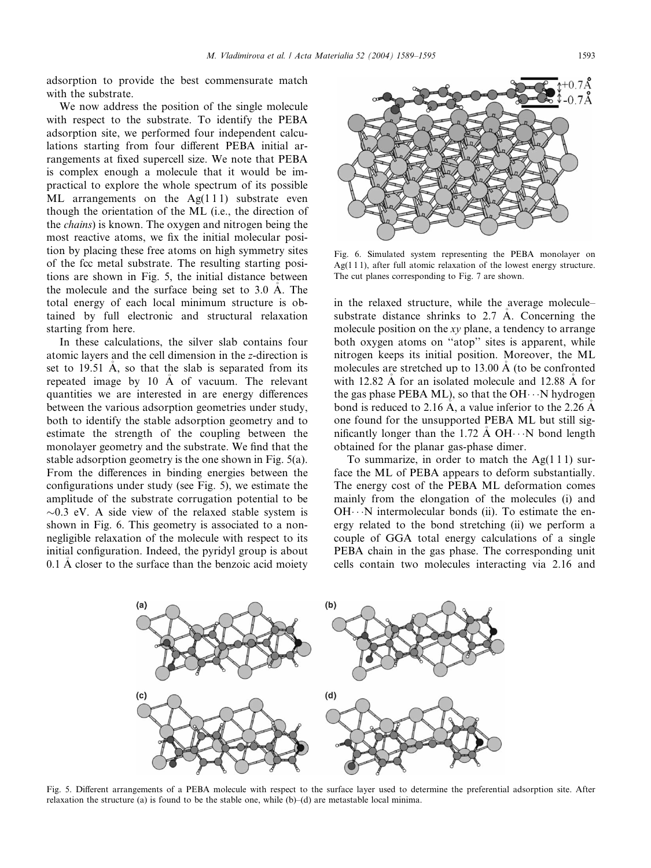adsorption to provide the best commensurate match with the substrate.

We now address the position of the single molecule with respect to the substrate. To identify the PEBA adsorption site, we performed four independent calculations starting from four different PEBA initial arrangements at fixed supercell size. We note that PEBA is complex enough a molecule that it would be impractical to explore the whole spectrum of its possible ML arrangements on the  $Ag(111)$  substrate even though the orientation of the ML (i.e., the direction of the chains) is known. The oxygen and nitrogen being the most reactive atoms, we fix the initial molecular position by placing these free atoms on high symmetry sites of the fcc metal substrate. The resulting starting positions are shown in Fig. 5, the initial distance between the molecule and the surface being set to 3.0 A. The total energy of each local minimum structure is obtained by full electronic and structural relaxation starting from here.

In these calculations, the silver slab contains four atomic layers and the cell dimension in the z-direction is set to 19.51 Å, so that the slab is separated from its repeated image by 10 A of vacuum. The relevant quantities we are interested in are energy differences between the various adsorption geometries under study, both to identify the stable adsorption geometry and to estimate the strength of the coupling between the monolayer geometry and the substrate. We find that the stable adsorption geometry is the one shown in Fig. 5(a). From the differences in binding energies between the configurations under study (see Fig. 5), we estimate the amplitude of the substrate corrugation potential to be  $\sim$ 0.3 eV. A side view of the relaxed stable system is shown in Fig. 6. This geometry is associated to a nonnegligible relaxation of the molecule with respect to its initial configuration. Indeed, the pyridyl group is about 0.1 A closer to the surface than the benzoic acid moiety



Fig. 6. Simulated system representing the PEBA monolayer on Ag(1 1 1), after full atomic relaxation of the lowest energy structure. The cut planes corresponding to Fig. 7 are shown.

in the relaxed structure, while the average molecule– substrate distance shrinks to 2.7 A. Concerning the molecule position on the xy plane, a tendency to arrange both oxygen atoms on ''atop'' sites is apparent, while nitrogen keeps its initial position. Moreover, the ML molecules are stretched up to  $13.00 \text{ Å}$  (to be confronted with 12.82  $\AA$  for an isolated molecule and 12.88  $\AA$  for the gas phase PEBA ML), so that the OH $\cdots$ N hydrogen bond is reduced to 2.16 Å, a value inferior to the 2.26 Å one found for the unsupported PEBA ML but still significantly longer than the 1.72 A  $OH \cdots N$  bond length obtained for the planar gas-phase dimer.

To summarize, in order to match the  $Ag(111)$  surface the ML of PEBA appears to deform substantially. The energy cost of the PEBA ML deformation comes mainly from the elongation of the molecules (i) and  $OH \cdots N$  intermolecular bonds (ii). To estimate the energy related to the bond stretching (ii) we perform a couple of GGA total energy calculations of a single PEBA chain in the gas phase. The corresponding unit cells contain two molecules interacting via 2.16 and



Fig. 5. Different arrangements of a PEBA molecule with respect to the surface layer used to determine the preferential adsorption site. After relaxation the structure (a) is found to be the stable one, while (b)–(d) are metastable local minima.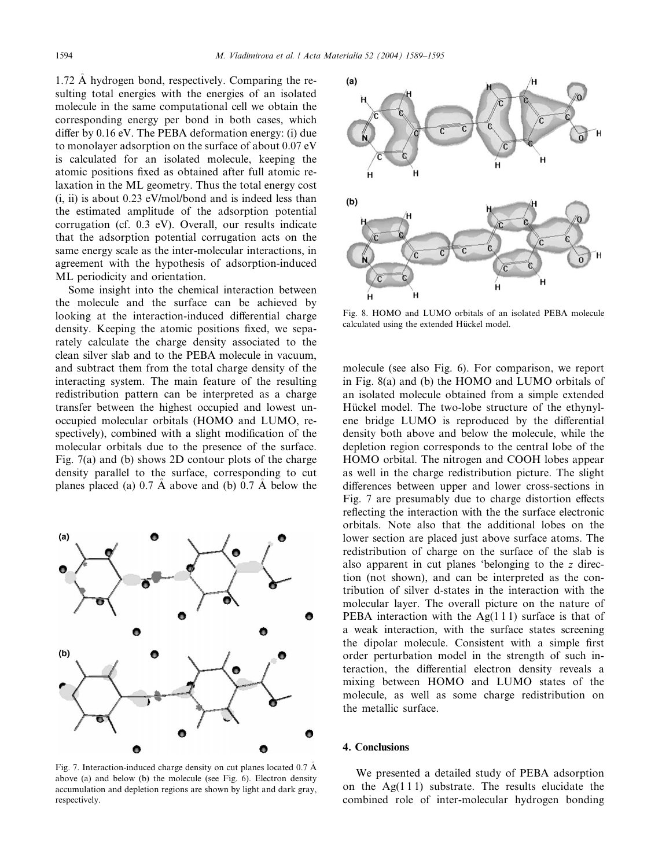1.72 A hydrogen bond, respectively. Comparing the re sulting total energies with the energies of an isolated molecule in the same computational cell we obtain the corresponding energy per bond in both cases, which differ by 0.16 eV. The PEBA deformation energy: (i) due to monolayer adsorption on the surface of about 0.07 eV is calculated for an isolated molecule, keeping the atomic positions fixed as obtained after full atomic relaxation in the ML geometry. Thus the total energy cost (i, ii) is about 0.23 eV/mol/bond and is indeed less than the estimated amplitude of the adsorption potential corrugation (cf. 0.3 eV). Overall, our results indicate that the adsorption potential corrugation acts on the same energy scale as the inter-molecular interactions, in agreement with the hypothesis of adsorption-induced ML periodicity and orientation.

Some insight into the chemical interaction between the molecule and the surface can be achieved by looking at the interaction-induced differential charge density. Keeping the atomic positions fixed, we separately calculate the charge density associated to the clean silver slab and to the PEBA molecule in vacuum, and subtract them from the total charge density of the interacting system. The main feature of the resulting redistribution pattern can be interpreted as a charge transfer between the highest occupied and lowest unoccupied molecular orbitals (HOMO and LUMO, respectively), combined with a slight modification of the molecular orbitals due to the presence of the surface. Fig. 7(a) and (b) shows 2D contour plots of the charge density parallel to the surface, corresponding to cut planes placed (a)  $0.7 \text{ Å}$  above and (b)  $0.7 \text{ Å}$  below the



Fig. 7. Interaction-induced charge density on cut planes located 0.7 A above (a) and below (b) the molecule (see Fig. 6). Electron density accumulation and depletion regions are shown by light and dark gray, respectively.



Fig. 8. HOMO and LUMO orbitals of an isolated PEBA molecule calculated using the extended Hückel model.

molecule (see also Fig. 6). For comparison, we report in Fig. 8(a) and (b) the HOMO and LUMO orbitals of an isolated molecule obtained from a simple extended Hückel model. The two-lobe structure of the ethynylene bridge LUMO is reproduced by the differential density both above and below the molecule, while the depletion region corresponds to the central lobe of the HOMO orbital. The nitrogen and COOH lobes appear as well in the charge redistribution picture. The slight differences between upper and lower cross-sections in Fig. 7 are presumably due to charge distortion effects reflecting the interaction with the the surface electronic orbitals. Note also that the additional lobes on the lower section are placed just above surface atoms. The redistribution of charge on the surface of the slab is also apparent in cut planes 'belonging to the z direction (not shown), and can be interpreted as the contribution of silver d-states in the interaction with the molecular layer. The overall picture on the nature of PEBA interaction with the  $Ag(111)$  surface is that of a weak interaction, with the surface states screening the dipolar molecule. Consistent with a simple first order perturbation model in the strength of such interaction, the differential electron density reveals a mixing between HOMO and LUMO states of the molecule, as well as some charge redistribution on the metallic surface.

# 4. Conclusions

We presented a detailed study of PEBA adsorption on the  $Ag(111)$  substrate. The results elucidate the combined role of inter-molecular hydrogen bonding